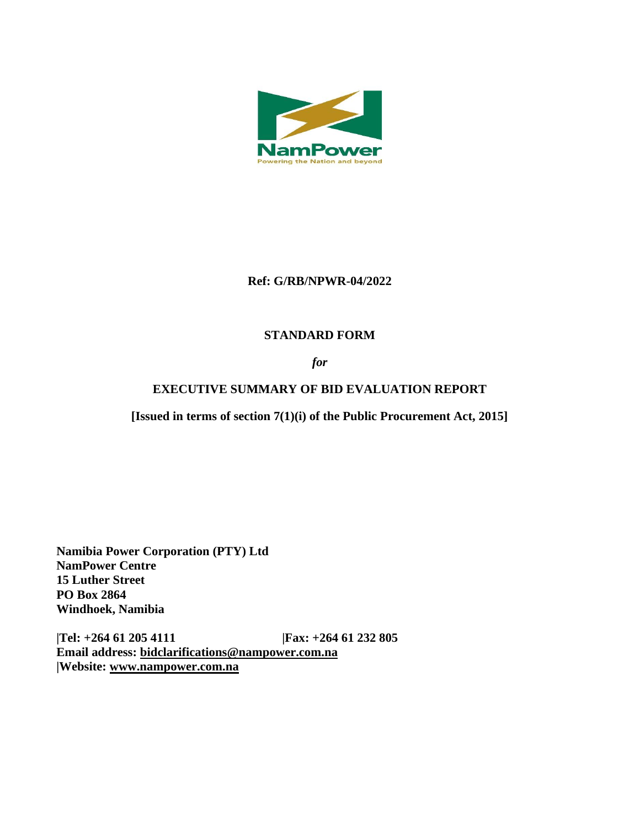

### **Ref: G/RB/NPWR-04/2022**

# **STANDARD FORM**

### *for*

### **EXECUTIVE SUMMARY OF BID EVALUATION REPORT**

**[Issued in terms of section 7(1)(i) of the Public Procurement Act, 2015]** 

**Namibia Power Corporation (PTY) Ltd NamPower Centre 15 Luther Street PO Box 2864 Windhoek, Namibia**

**|Tel: +264 61 205 4111 |Fax: +264 61 232 805 Email address: [bidclarifications@nampower.com.na](mailto:bidclarifications@nampower.com.na) |Website: [www.n](http://www./)ampower.com.na**